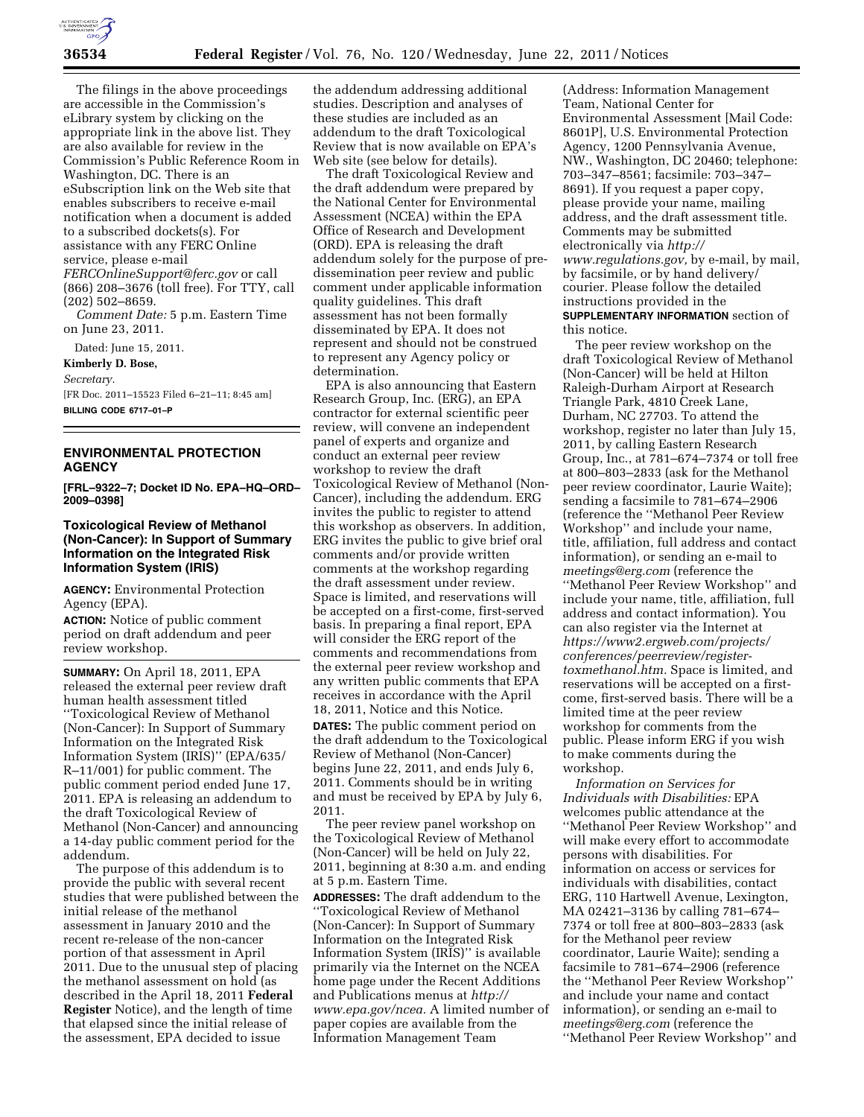

The filings in the above proceedings are accessible in the Commission's eLibrary system by clicking on the appropriate link in the above list. They are also available for review in the Commission's Public Reference Room in Washington, DC. There is an eSubscription link on the Web site that enables subscribers to receive e-mail notification when a document is added to a subscribed dockets(s). For assistance with any FERC Online service, please e-mail

*[FERCOnlineSupport@ferc.gov](mailto:FERCOnlineSupport@ferc.gov)* or call (866) 208–3676 (toll free). For TTY, call (202) 502–8659.

*Comment Date:* 5 p.m. Eastern Time on June 23, 2011.

Dated: June 15, 2011.

**Kimberly D. Bose,** 

*Secretary.* 

[FR Doc. 2011–15523 Filed 6–21–11; 8:45 am] **BILLING CODE 6717–01–P** 

# **ENVIRONMENTAL PROTECTION AGENCY**

**[FRL–9322–7; Docket ID No. EPA–HQ–ORD– 2009–0398]** 

### **Toxicological Review of Methanol (Non-Cancer): In Support of Summary Information on the Integrated Risk Information System (IRIS)**

**AGENCY:** Environmental Protection Agency (EPA).

**ACTION:** Notice of public comment period on draft addendum and peer review workshop.

**SUMMARY:** On April 18, 2011, EPA released the external peer review draft human health assessment titled ''Toxicological Review of Methanol (Non-Cancer): In Support of Summary Information on the Integrated Risk Information System (IRIS)'' (EPA/635/ R–11/001) for public comment. The public comment period ended June 17, 2011. EPA is releasing an addendum to the draft Toxicological Review of Methanol (Non-Cancer) and announcing a 14-day public comment period for the addendum.

The purpose of this addendum is to provide the public with several recent studies that were published between the initial release of the methanol assessment in January 2010 and the recent re-release of the non-cancer portion of that assessment in April 2011. Due to the unusual step of placing the methanol assessment on hold (as described in the April 18, 2011 **Federal Register** Notice), and the length of time that elapsed since the initial release of the assessment, EPA decided to issue

the addendum addressing additional studies. Description and analyses of these studies are included as an addendum to the draft Toxicological Review that is now available on EPA's Web site (see below for details).

The draft Toxicological Review and the draft addendum were prepared by the National Center for Environmental Assessment (NCEA) within the EPA Office of Research and Development (ORD). EPA is releasing the draft addendum solely for the purpose of predissemination peer review and public comment under applicable information quality guidelines. This draft assessment has not been formally disseminated by EPA. It does not represent and should not be construed to represent any Agency policy or determination.

EPA is also announcing that Eastern Research Group, Inc. (ERG), an EPA contractor for external scientific peer review, will convene an independent panel of experts and organize and conduct an external peer review workshop to review the draft Toxicological Review of Methanol (Non-Cancer), including the addendum. ERG invites the public to register to attend this workshop as observers. In addition, ERG invites the public to give brief oral comments and/or provide written comments at the workshop regarding the draft assessment under review. Space is limited, and reservations will be accepted on a first-come, first-served basis. In preparing a final report, EPA will consider the ERG report of the comments and recommendations from the external peer review workshop and any written public comments that EPA receives in accordance with the April 18, 2011, Notice and this Notice. **DATES:** The public comment period on the draft addendum to the Toxicological Review of Methanol (Non-Cancer) begins June 22, 2011, and ends July 6, 2011. Comments should be in writing and must be received by EPA by July 6, 2011.

The peer review panel workshop on the Toxicological Review of Methanol (Non-Cancer) will be held on July 22, 2011, beginning at 8:30 a.m. and ending at 5 p.m. Eastern Time.

**ADDRESSES:** The draft addendum to the ''Toxicological Review of Methanol (Non-Cancer): In Support of Summary Information on the Integrated Risk Information System (IRIS)'' is available primarily via the Internet on the NCEA home page under the Recent Additions and Publications menus at *[http://](http://www.epa.gov/ncea) [www.epa.gov/ncea.](http://www.epa.gov/ncea)* A limited number of paper copies are available from the Information Management Team

(Address: Information Management Team, National Center for Environmental Assessment [Mail Code: 8601P], U.S. Environmental Protection Agency, 1200 Pennsylvania Avenue, NW., Washington, DC 20460; telephone: 703–347–8561; facsimile: 703–347– 8691). If you request a paper copy, please provide your name, mailing address, and the draft assessment title. Comments may be submitted electronically via *[http://](http://www.regulations.gov) [www.regulations.gov,](http://www.regulations.gov)* by e-mail, by mail, by facsimile, or by hand delivery/ courier. Please follow the detailed instructions provided in the **SUPPLEMENTARY INFORMATION** section of

this notice.

The peer review workshop on the draft Toxicological Review of Methanol (Non-Cancer) will be held at Hilton Raleigh-Durham Airport at Research Triangle Park, 4810 Creek Lane, Durham, NC 27703. To attend the workshop, register no later than July 15, 2011, by calling Eastern Research Group, Inc., at 781–674–7374 or toll free at 800–803–2833 (ask for the Methanol peer review coordinator, Laurie Waite); sending a facsimile to 781–674–2906 (reference the ''Methanol Peer Review Workshop'' and include your name, title, affiliation, full address and contact information), or sending an e-mail to *[meetings@erg.com](mailto:meetings@erg.com)* (reference the ''Methanol Peer Review Workshop'' and include your name, title, affiliation, full address and contact information). You can also register via the Internet at *[https://www2.ergweb.com/projects/](https://www2.ergweb.com/projects/conferences/peerreview/register-toxmethanol.htm)  [conferences/peerreview/register](https://www2.ergweb.com/projects/conferences/peerreview/register-toxmethanol.htm)[toxmethanol.htm.](https://www2.ergweb.com/projects/conferences/peerreview/register-toxmethanol.htm)* Space is limited, and reservations will be accepted on a firstcome, first-served basis. There will be a limited time at the peer review workshop for comments from the public. Please inform ERG if you wish to make comments during the workshop.

*Information on Services for Individuals with Disabilities:* EPA welcomes public attendance at the ''Methanol Peer Review Workshop'' and will make every effort to accommodate persons with disabilities. For information on access or services for individuals with disabilities, contact ERG, 110 Hartwell Avenue, Lexington, MA 02421–3136 by calling 781–674– 7374 or toll free at 800–803–2833 (ask for the Methanol peer review coordinator, Laurie Waite); sending a facsimile to 781–674–2906 (reference the ''Methanol Peer Review Workshop'' and include your name and contact information), or sending an e-mail to *[meetings@erg.com](mailto:meetings@erg.com)* (reference the ''Methanol Peer Review Workshop'' and